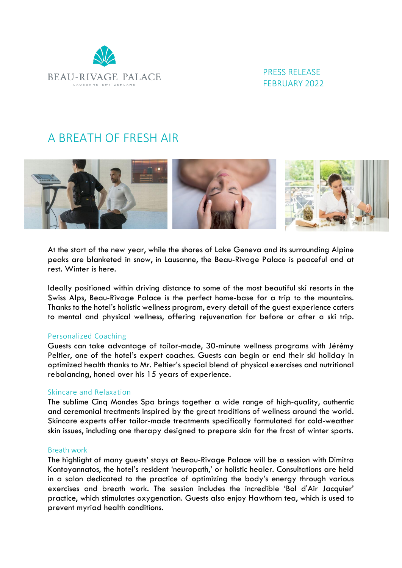

 PRESS RELEASE FEBRUARY 2022

# A BREATH OF FRESH AIR



At the start of the new year, while the shores of Lake Geneva and its surrounding Alpine peaks are blanketed in snow, in Lausanne, the Beau-Rivage Palace is peaceful and at rest. Winter is here.

Ideally positioned within driving distance to some of the most beautiful ski resorts in the Swiss Alps, Beau-Rivage Palace is the perfect home-base for a trip to the mountains. Thanks to the hotel's holistic wellness program, every detail of the guest experience caters to mental and physical wellness, offering rejuvenation for before or after a ski trip.

# Personalized Coaching

Guests can take advantage of tailor-made, 30-minute wellness programs with Jérémy Peltier, one of the hotel's expert coaches. Guests can begin or end their ski holiday in optimized health thanks to Mr. Peltier's special blend of physical exercises and nutritional rebalancing, honed over his 15 years of experience.

# Skincare and Relaxation

The sublime Cinq Mondes Spa brings together a wide range of high-quality, authentic and ceremonial treatments inspired by the great traditions of wellness around the world. Skincare experts offer tailor-made treatments specifically formulated for cold-weather skin issues, including one therapy designed to prepare skin for the frost of winter sports.

#### Breath work

The highlight of many guests' stays at Beau-Rivage Palace will be a session with Dimitra Kontoyannatos, the hotel's resident 'neuropath,' or holistic healer. Consultations are held in a salon dedicated to the practice of optimizing the body's energy through various exercises and breath work. The session includes the incredible 'Bol d'Air Jacquier' practice, which stimulates oxygenation. Guests also enjoy Hawthorn tea, which is used to prevent myriad health conditions.